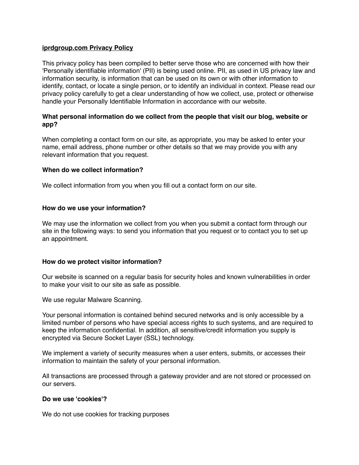### **iprdgroup.com Privacy Policy**

This privacy policy has been compiled to better serve those who are concerned with how their 'Personally identifiable information' (PII) is being used online. PII, as used in US privacy law and information security, is information that can be used on its own or with other information to identify, contact, or locate a single person, or to identify an individual in context. Please read our privacy policy carefully to get a clear understanding of how we collect, use, protect or otherwise handle your Personally Identifiable Information in accordance with our website.

# **What personal information do we collect from the people that visit our blog, website or app?**

When completing a contact form on our site, as appropriate, you may be asked to enter your name, email address, phone number or other details so that we may provide you with any relevant information that you request.

### **When do we collect information?**

We collect information from you when you fill out a contact form on our site.

### **How do we use your information?**

We may use the information we collect from you when you submit a contact form through our site in the following ways: to send you information that you request or to contact you to set up an appointment.

### **How do we protect visitor information?**

Our website is scanned on a regular basis for security holes and known vulnerabilities in order to make your visit to our site as safe as possible.

We use regular Malware Scanning.

Your personal information is contained behind secured networks and is only accessible by a limited number of persons who have special access rights to such systems, and are required to keep the information confidential. In addition, all sensitive/credit information you supply is encrypted via Secure Socket Layer (SSL) technology.

We implement a variety of security measures when a user enters, submits, or accesses their information to maintain the safety of your personal information.

All transactions are processed through a gateway provider and are not stored or processed on our servers.

### **Do we use 'cookies'?**

We do not use cookies for tracking purposes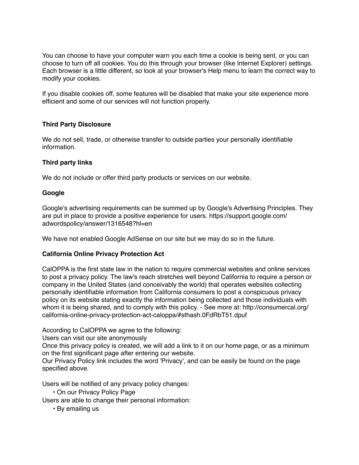You can choose to have your computer warn you each time a cookie is being sent, or you can choose to turn off all cookies. You do this through your browser (like Internet Explorer) settings. Each browser is a little different, so look at your browser's Help menu to learn the correct way to modify your cookies.

If you disable cookies off, some features will be disabled that make your site experience more efficient and some of our services will not function properly.

# **Third Party Disclosure**

We do not sell, trade, or otherwise transfer to outside parties your personally identifiable information.

# **Third party links**

We do not include or offer third party products or services on our website.

# **Google**

Google's advertising requirements can be summed up by Google's Advertising Principles. They are put in place to provide a positive experience for users. https://support.google.com/ adwordspolicy/answer/1316548?hl=en

We have not enabled Google AdSense on our site but we may do so in the future.

# **California Online Privacy Protection Act**

CalOPPA is the first state law in the nation to require commercial websites and online services to post a privacy policy. The law's reach stretches well beyond California to require a person or company in the United States (and conceivably the world) that operates websites collecting personally identifiable information from California consumers to post a conspicuous privacy policy on its website stating exactly the information being collected and those individuals with whom it is being shared, and to comply with this policy. - See more at: http://consumercal.org/ california-online-privacy-protection-act-caloppa/#sthash.0FdRbT51.dpuf

According to CalOPPA we agree to the following:

Users can visit our site anonymously

Once this privacy policy is created, we will add a link to it on our home page, or as a minimum on the first significant page after entering our website.

Our Privacy Policy link includes the word 'Privacy', and can be easily be found on the page specified above.

Users will be notified of any privacy policy changes:

• On our Privacy Policy Page

Users are able to change their personal information:

• By emailing us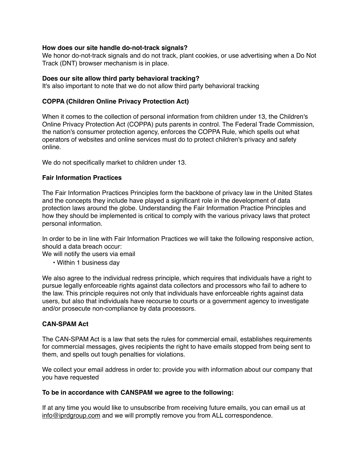### **How does our site handle do-not-track signals?**

We honor do-not-track signals and do not track, plant cookies, or use advertising when a Do Not Track (DNT) browser mechanism is in place.

### **Does our site allow third party behavioral tracking?**

It's also important to note that we do not allow third party behavioral tracking

# **COPPA (Children Online Privacy Protection Act)**

When it comes to the collection of personal information from children under 13, the Children's Online Privacy Protection Act (COPPA) puts parents in control. The Federal Trade Commission, the nation's consumer protection agency, enforces the COPPA Rule, which spells out what operators of websites and online services must do to protect children's privacy and safety online.

We do not specifically market to children under 13.

# **Fair Information Practices**

The Fair Information Practices Principles form the backbone of privacy law in the United States and the concepts they include have played a significant role in the development of data protection laws around the globe. Understanding the Fair Information Practice Principles and how they should be implemented is critical to comply with the various privacy laws that protect personal information.

In order to be in line with Fair Information Practices we will take the following responsive action, should a data breach occur:

We will notify the users via email

• Within 1 business day

We also agree to the individual redress principle, which requires that individuals have a right to pursue legally enforceable rights against data collectors and processors who fail to adhere to the law. This principle requires not only that individuals have enforceable rights against data users, but also that individuals have recourse to courts or a government agency to investigate and/or prosecute non-compliance by data processors.

### **CAN-SPAM Act**

The CAN-SPAM Act is a law that sets the rules for commercial email, establishes requirements for commercial messages, gives recipients the right to have emails stopped from being sent to them, and spells out tough penalties for violations.

We collect your email address in order to: provide you with information about our company that you have requested

### **To be in accordance with CANSPAM we agree to the following:**

If at any time you would like to unsubscribe from receiving future emails, you can email us at [info@iprdgroup.com](mailto:info@iprdgroup.com) and we will promptly remove you from ALL correspondence.